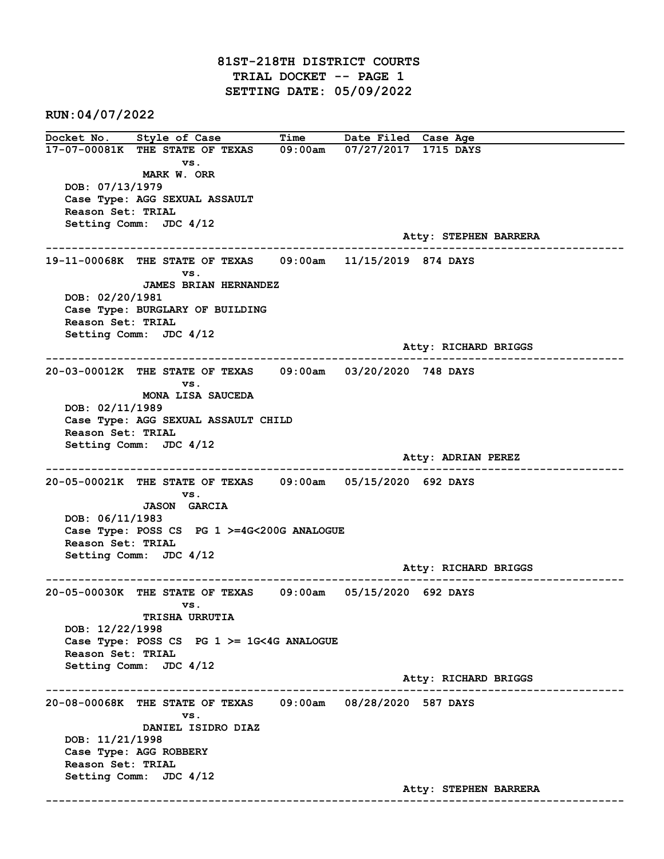81ST-218TH DISTRICT COURTS TRIAL DOCKET -- PAGE 1 SETTING DATE: 05/09/2022

RUN:04/07/2022

Docket No. Style of Case Time Date Filed Case Age 17-07-00081K THE STATE OF TEXAS 09:00am 07/27/2017 1715 DAYS vs. MARK W. ORR DOB: 07/13/1979 Case Type: AGG SEXUAL ASSAULT Reason Set: TRIAL Setting Comm: JDC 4/12 Atty: STEPHEN BARRERA ------------------------------------------------------------------------------------------------------------------------ 19-11-00068K THE STATE OF TEXAS 09:00am 11/15/2019 874 DAYS vs. JAMES BRIAN HERNANDEZ DOB: 02/20/1981 Case Type: BURGLARY OF BUILDING Reason Set: TRIAL Setting Comm: JDC 4/12 Atty: RICHARD BRIGGS ------------------------------------------------------------------------------------------------------------------------ 20-03-00012K THE STATE OF TEXAS 09:00am 03/20/2020 748 DAYS vs. MONA LISA SAUCEDA DOB: 02/11/1989 Case Type: AGG SEXUAL ASSAULT CHILD Reason Set: TRIAL Setting Comm: JDC 4/12 Atty: ADRIAN PEREZ ------------------------------------------------------------------------------------------------------------------------ 20-05-00021K THE STATE OF TEXAS 09:00am 05/15/2020 692 DAYS vs. JASON GARCIA DOB: 06/11/1983 Case Type: POSS CS PG 1 >=4G<200G ANALOGUE Reason Set: TRIAL Setting Comm: JDC 4/12 Atty: RICHARD BRIGGS ------------------------------------------------------------------------------------------------------------------------ 20-05-00030K THE STATE OF TEXAS 09:00am 05/15/2020 692 DAYS vs. TRISHA URRUTIA DOB: 12/22/1998 Case Type: POSS CS PG 1 >= 1G<4G ANALOGUE Reason Set: TRIAL Setting Comm: JDC 4/12 Atty: RICHARD BRIGGS ------------------------------------------------------------------------------------------------------------------------ 20-08-00068K THE STATE OF TEXAS 09:00am 08/28/2020 587 DAYS vs. DANIEL ISIDRO DIAZ DOB: 11/21/1998 Case Type: AGG ROBBERY Reason Set: TRIAL Setting Comm: JDC 4/12 Atty: STEPHEN BARRERA ------------------------------------------------------------------------------------------------------------------------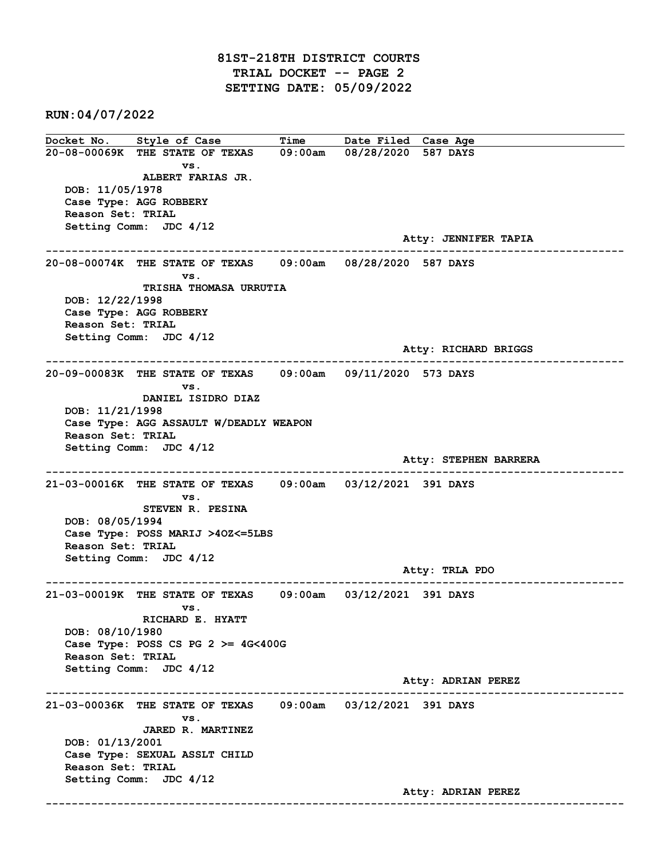## 81ST-218TH DISTRICT COURTS TRIAL DOCKET -- PAGE 2 SETTING DATE: 05/09/2022

RUN:04/07/2022

Docket No. Style of Case Time Date Filed Case Age 20-08-00069K THE STATE OF TEXAS 09:00am 08/28/2020 587 DAYS vs. ALBERT FARIAS JR. DOB: 11/05/1978 Case Type: AGG ROBBERY Reason Set: TRIAL Setting Comm: JDC 4/12 Atty: JENNIFER TAPIA ------------------------------------------------------------------------------------------------------------------------ 20-08-00074K THE STATE OF TEXAS 09:00am 08/28/2020 587 DAYS vs. TRISHA THOMASA URRUTIA DOB: 12/22/1998 Case Type: AGG ROBBERY Reason Set: TRIAL Setting Comm: JDC 4/12 Atty: RICHARD BRIGGS ------------------------------------------------------------------------------------------------------------------------ 20-09-00083K THE STATE OF TEXAS 09:00am 09/11/2020 573 DAYS vs. DANIEL ISIDRO DIAZ DOB: 11/21/1998 Case Type: AGG ASSAULT W/DEADLY WEAPON Reason Set: TRIAL Setting Comm: JDC 4/12 Atty: STEPHEN BARRERA ------------------------------------------------------------------------------------------------------------------------ 21-03-00016K THE STATE OF TEXAS 09:00am 03/12/2021 391 DAYS vs. STEVEN R. PESINA DOB: 08/05/1994 Case Type: POSS MARIJ >4OZ<=5LBS Reason Set: TRIAL Setting Comm: JDC 4/12 Atty: TRLA PDO ------------------------------------------------------------------------------------------------------------------------ 21-03-00019K THE STATE OF TEXAS 09:00am 03/12/2021 391 DAYS vs. RICHARD E. HYATT DOB: 08/10/1980 Case Type: POSS CS PG  $2 \ge 4$ G<400G Reason Set: TRIAL Setting Comm: JDC 4/12 Atty: ADRIAN PEREZ ------------------------------------------------------------------------------------------------------------------------ 21-03-00036K THE STATE OF TEXAS 09:00am 03/12/2021 391 DAYS vs. JARED R. MARTINEZ DOB: 01/13/2001 Case Type: SEXUAL ASSLT CHILD Reason Set: TRIAL Setting Comm: JDC 4/12 Atty: ADRIAN PEREZ ------------------------------------------------------------------------------------------------------------------------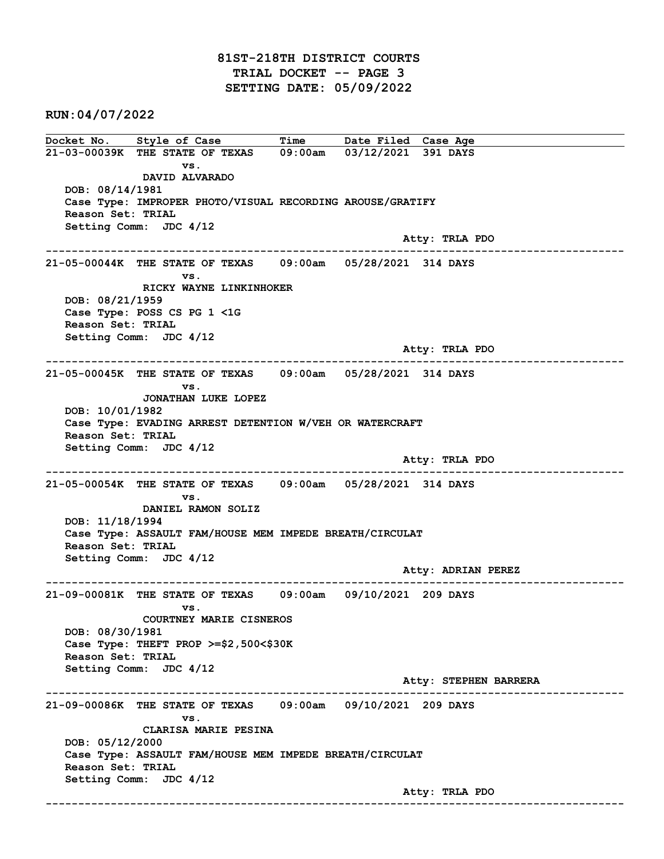RUN:04/07/2022

Docket No. Style of Case Time Date Filed Case Age 21-03-00039K THE STATE OF TEXAS 09:00am 03/12/2021 391 DAYS vs. DAVID ALVARADO DOB: 08/14/1981 Case Type: IMPROPER PHOTO/VISUAL RECORDING AROUSE/GRATIFY Reason Set: TRIAL Setting Comm: JDC 4/12 Atty: TRLA PDO ------------------------------------------------------------------------------------------------------------------------ 21-05-00044K THE STATE OF TEXAS 09:00am 05/28/2021 314 DAYS vs. RICKY WAYNE LINKINHOKER DOB: 08/21/1959 Case Type: POSS CS PG 1 <1G Reason Set: TRIAL Setting Comm: JDC 4/12 Atty: TRLA PDO ------------------------------------------------------------------------------------------------------------------------ 21-05-00045K THE STATE OF TEXAS 09:00am 05/28/2021 314 DAYS vs. JONATHAN LUKE LOPEZ DOB: 10/01/1982 Case Type: EVADING ARREST DETENTION W/VEH OR WATERCRAFT Reason Set: TRIAL Setting Comm: JDC 4/12 Atty: TRLA PDO ------------------------------------------------------------------------------------------------------------------------ 21-05-00054K THE STATE OF TEXAS 09:00am 05/28/2021 314 DAYS vs. DANIEL RAMON SOLIZ DOB: 11/18/1994 Case Type: ASSAULT FAM/HOUSE MEM IMPEDE BREATH/CIRCULAT Reason Set: TRIAL Setting Comm: JDC 4/12 Atty: ADRIAN PEREZ ------------------------------------------------------------------------------------------------------------------------ 21-09-00081K THE STATE OF TEXAS 09:00am 09/10/2021 209 DAYS vs. COURTNEY MARIE CISNEROS DOB: 08/30/1981 Case Type: THEFT PROP >=\$2,500<\$30K Reason Set: TRIAL Setting Comm: JDC 4/12 Atty: STEPHEN BARRERA ------------------------------------------------------------------------------------------------------------------------ 21-09-00086K THE STATE OF TEXAS 09:00am 09/10/2021 209 DAYS vs. CLARISA MARIE PESINA DOB: 05/12/2000 Case Type: ASSAULT FAM/HOUSE MEM IMPEDE BREATH/CIRCULAT Reason Set: TRIAL Setting Comm: JDC 4/12 Atty: TRLA PDO ------------------------------------------------------------------------------------------------------------------------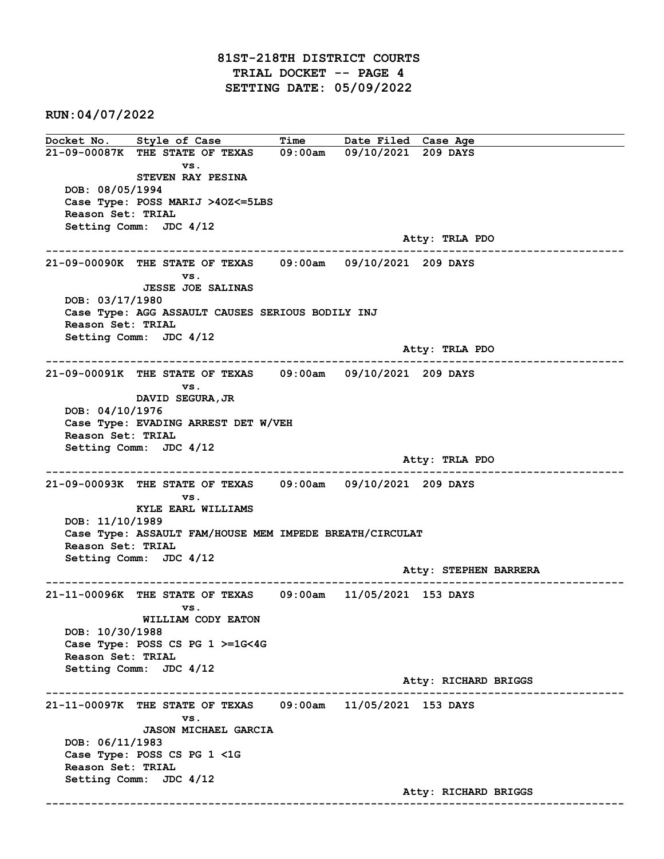## 81ST-218TH DISTRICT COURTS TRIAL DOCKET -- PAGE 4 SETTING DATE: 05/09/2022

RUN:04/07/2022

Docket No. Style of Case Time Date Filed Case Age 21-09-00087K THE STATE OF TEXAS 09:00am 09/10/2021 209 DAYS vs. STEVEN RAY PESINA DOB: 08/05/1994 Case Type: POSS MARIJ >4OZ<=5LBS Reason Set: TRIAL Setting Comm: JDC 4/12 Atty: TRLA PDO ------------------------------------------------------------------------------------------------------------------------ 21-09-00090K THE STATE OF TEXAS 09:00am 09/10/2021 209 DAYS vs. JESSE JOE SALINAS DOB: 03/17/1980 Case Type: AGG ASSAULT CAUSES SERIOUS BODILY INJ Reason Set: TRIAL Setting Comm: JDC 4/12 Atty: TRLA PDO ------------------------------------------------------------------------------------------------------------------------ 21-09-00091K THE STATE OF TEXAS 09:00am 09/10/2021 209 DAYS vs. DAVID SEGURA,JR DOB: 04/10/1976 Case Type: EVADING ARREST DET W/VEH Reason Set: TRIAL Setting Comm: JDC 4/12 Atty: TRLA PDO ------------------------------------------------------------------------------------------------------------------------ 21-09-00093K THE STATE OF TEXAS 09:00am 09/10/2021 209 DAYS vs. KYLE EARL WILLIAMS DOB: 11/10/1989 Case Type: ASSAULT FAM/HOUSE MEM IMPEDE BREATH/CIRCULAT Reason Set: TRIAL Setting Comm: JDC 4/12 Atty: STEPHEN BARRERA ------------------------------------------------------------------------------------------------------------------------ 21-11-00096K THE STATE OF TEXAS 09:00am 11/05/2021 153 DAYS vs. WILLIAM CODY EATON DOB: 10/30/1988 Case Type: POSS CS PG 1 >=1G<4G Reason Set: TRIAL Setting Comm: JDC 4/12 Atty: RICHARD BRIGGS ------------------------------------------------------------------------------------------------------------------------ 21-11-00097K THE STATE OF TEXAS 09:00am 11/05/2021 153 DAYS vs. JASON MICHAEL GARCIA DOB: 06/11/1983 Case Type: POSS CS PG 1 <1G Reason Set: TRIAL Setting Comm: JDC 4/12 Atty: RICHARD BRIGGS ------------------------------------------------------------------------------------------------------------------------